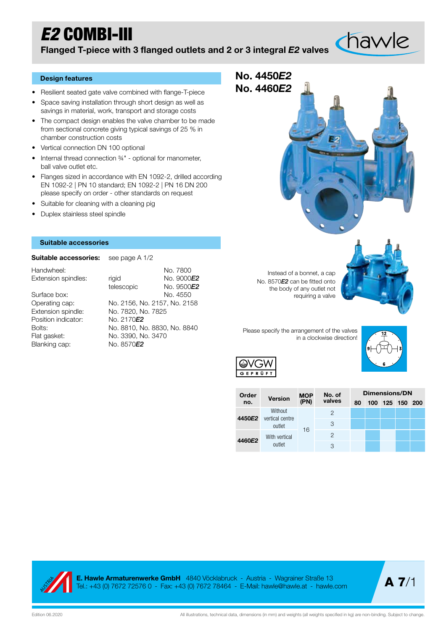## *E2* COMBI-III

Flanged T-piece with 3 flanged outlets and 2 or 3 integral *E2* valves

## Design features

- Resilient seated gate valve combined with flange-T-piece
- Space saving installation through short design as well as savings in material, work, transport and storage costs
- The compact design enables the valve chamber to be made from sectional concrete giving typical savings of 25 % in chamber construction costs
- Vertical connection DN 100 optional
- Internal thread connection ¾" optional for manometer, ball valve outlet etc.
- Flanges sized in accordance with EN 1092-2, drilled according EN 1092-2 | PN 10 standard; EN 1092-2 | PN 16 DN 200 please specify on order - other standards on request
- Suitable for cleaning with a cleaning pig
- Duplex stainless steel spindle

## Suitable accessories

Suitable accessories: see page A 1/2

| Handwheel:          |                              | No. 7800   |
|---------------------|------------------------------|------------|
| Extension spindles: | rigid                        | No. 9000E2 |
|                     | telescopic                   | No. 9500E2 |
| Surface box:        |                              | No. 4550   |
| Operating cap:      | No. 2156, No. 2157, No. 2158 |            |
| Extension spindle:  | No. 7820, No. 7825           |            |
| Position indicator: | No. 2170E2                   |            |
| Bolts:              | No. 8810, No. 8830, No. 8840 |            |
| Flat gasket:        | No. 3390, No. 3470           |            |
| Blanking cap:       | No. 8570 <b>E2</b>           |            |

Instead of a bonnet, a cap No. 8570*E2* can be fitted onto the body of any outlet not requiring a valve

Please specify the arrangement of the valves in a clockwise direction!



| ( –        |  |
|------------|--|
| GEPRÜ<br>F |  |
|            |  |
|            |  |

No. 4450*E2* No. 4460*E2*

|  | Order  |                            |             | No. of        | Dimensions/DN    |  |  |  |     |  |  |  |  |
|--|--------|----------------------------|-------------|---------------|------------------|--|--|--|-----|--|--|--|--|
|  | no.    | <b>Version</b>             | MOP<br>(PN) | valves        | 80               |  |  |  | 200 |  |  |  |  |
|  | 4450E2 | Without<br>vertical centre |             | 2             |                  |  |  |  |     |  |  |  |  |
|  |        | outlet                     | 16          | 3             |                  |  |  |  |     |  |  |  |  |
|  | 4460E2 | With vertical              |             | $\mathcal{P}$ | 100 125 150<br>З |  |  |  |     |  |  |  |  |
|  |        | outlet                     |             |               |                  |  |  |  |     |  |  |  |  |



E. Hawle Armaturenwerke GmbH 4840 Vöcklabruck - Austria - Wagrainer Straße 13 Tel.: +43 (0) 7672 72576 0 - Fax: +43 (0) 7672 78464 - E-Mail: hawle@hawle.at - hawle.com